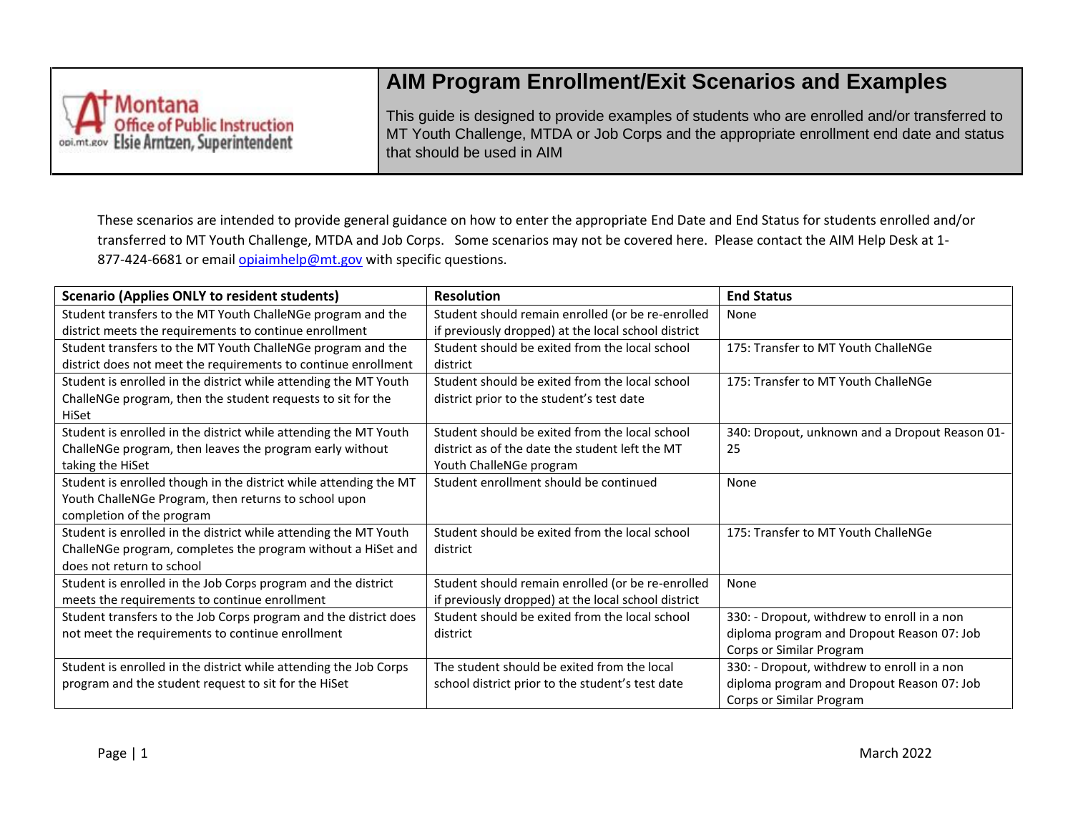

## **AIM Program Enrollment/Exit Scenarios and Examples**

This guide is designed to provide examples of students who are enrolled and/or transferred to MT Youth Challenge, MTDA or Job Corps and the appropriate enrollment end date and status that should be used in AIM

These scenarios are intended to provide general guidance on how to enter the appropriate End Date and End Status for students enrolled and/or transferred to MT Youth Challenge, MTDA and Job Corps. Some scenarios may not be covered here. Please contact the AIM Help Desk at 1 877-424-6681 or email [opiaimhelp@mt.gov](mailto:opiaimhelp@mt.gov) with specific questions.

| <b>Scenario (Applies ONLY to resident students)</b>               | <b>Resolution</b>                                   | <b>End Status</b>                              |
|-------------------------------------------------------------------|-----------------------------------------------------|------------------------------------------------|
| Student transfers to the MT Youth ChalleNGe program and the       | Student should remain enrolled (or be re-enrolled   | None                                           |
| district meets the requirements to continue enrollment            | if previously dropped) at the local school district |                                                |
| Student transfers to the MT Youth ChalleNGe program and the       | Student should be exited from the local school      | 175: Transfer to MT Youth ChalleNGe            |
| district does not meet the requirements to continue enrollment    | district                                            |                                                |
| Student is enrolled in the district while attending the MT Youth  | Student should be exited from the local school      | 175: Transfer to MT Youth ChalleNGe            |
| ChalleNGe program, then the student requests to sit for the       | district prior to the student's test date           |                                                |
| HiSet                                                             |                                                     |                                                |
| Student is enrolled in the district while attending the MT Youth  | Student should be exited from the local school      | 340: Dropout, unknown and a Dropout Reason 01- |
| ChalleNGe program, then leaves the program early without          | district as of the date the student left the MT     | 25                                             |
| taking the HiSet                                                  | Youth ChalleNGe program                             |                                                |
| Student is enrolled though in the district while attending the MT | Student enrollment should be continued              | None                                           |
| Youth ChalleNGe Program, then returns to school upon              |                                                     |                                                |
| completion of the program                                         |                                                     |                                                |
| Student is enrolled in the district while attending the MT Youth  | Student should be exited from the local school      | 175: Transfer to MT Youth ChalleNGe            |
| ChalleNGe program, completes the program without a HiSet and      | district                                            |                                                |
| does not return to school                                         |                                                     |                                                |
| Student is enrolled in the Job Corps program and the district     | Student should remain enrolled (or be re-enrolled   | None                                           |
| meets the requirements to continue enrollment                     | if previously dropped) at the local school district |                                                |
| Student transfers to the Job Corps program and the district does  | Student should be exited from the local school      | 330: - Dropout, withdrew to enroll in a non    |
| not meet the requirements to continue enrollment                  | district                                            | diploma program and Dropout Reason 07: Job     |
|                                                                   |                                                     | Corps or Similar Program                       |
| Student is enrolled in the district while attending the Job Corps | The student should be exited from the local         | 330: - Dropout, withdrew to enroll in a non    |
| program and the student request to sit for the HiSet              | school district prior to the student's test date    | diploma program and Dropout Reason 07: Job     |
|                                                                   |                                                     | Corps or Similar Program                       |